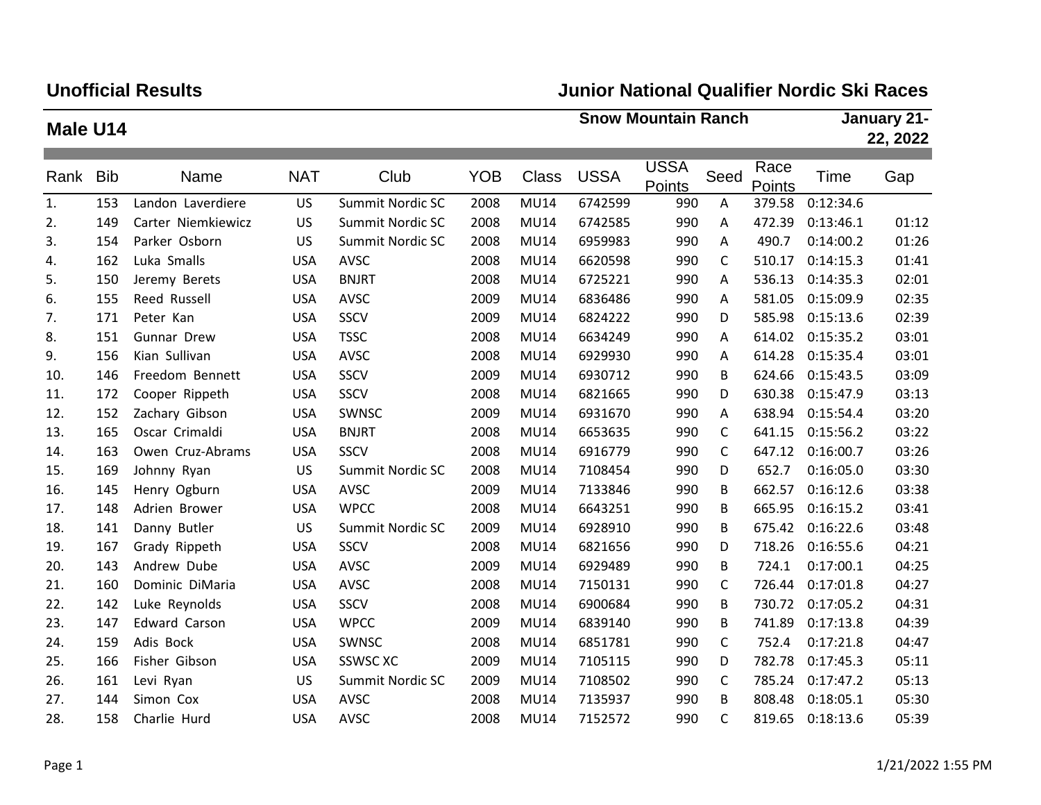# **Unofficial Results**

## **Junior National Qualifier Nordic Ski Races**

| Male U14 |            |                      |            |                  |            | <b>Snow Mountain Ranch</b> |             |                       |              |                | January 21-<br>22, 2022 |       |
|----------|------------|----------------------|------------|------------------|------------|----------------------------|-------------|-----------------------|--------------|----------------|-------------------------|-------|
|          |            |                      |            |                  |            |                            |             |                       |              |                |                         |       |
| Rank     | <b>Bib</b> | Name                 | <b>NAT</b> | Club             | <b>YOB</b> | <b>Class</b>               | <b>USSA</b> | <b>USSA</b><br>Points | Seed         | Race<br>Points | Time                    | Gap   |
| 1.       | 153        | Landon Laverdiere    | <b>US</b>  | Summit Nordic SC | 2008       | <b>MU14</b>                | 6742599     | 990                   | Α            | 379.58         | 0:12:34.6               |       |
| 2.       | 149        | Carter Niemkiewicz   | US         | Summit Nordic SC | 2008       | <b>MU14</b>                | 6742585     | 990                   | A            | 472.39         | 0:13:46.1               | 01:12 |
| 3.       | 154        | Parker Osborn        | US         | Summit Nordic SC | 2008       | <b>MU14</b>                | 6959983     | 990                   | Α            | 490.7          | 0:14:00.2               | 01:26 |
| 4.       | 162        | Luka Smalls          | <b>USA</b> | AVSC             | 2008       | <b>MU14</b>                | 6620598     | 990                   | C            | 510.17         | 0:14:15.3               | 01:41 |
| 5.       | 150        | Jeremy Berets        | <b>USA</b> | <b>BNJRT</b>     | 2008       | <b>MU14</b>                | 6725221     | 990                   | Α            | 536.13         | 0:14:35.3               | 02:01 |
| 6.       | 155        | Reed Russell         | <b>USA</b> | AVSC             | 2009       | <b>MU14</b>                | 6836486     | 990                   | A            | 581.05         | 0:15:09.9               | 02:35 |
| 7.       | 171        | Peter Kan            | <b>USA</b> | SSCV             | 2009       | <b>MU14</b>                | 6824222     | 990                   | D            | 585.98         | 0:15:13.6               | 02:39 |
| 8.       | 151        | Gunnar Drew          | <b>USA</b> | <b>TSSC</b>      | 2008       | <b>MU14</b>                | 6634249     | 990                   | A            | 614.02         | 0:15:35.2               | 03:01 |
| 9.       | 156        | Kian Sullivan        | <b>USA</b> | AVSC             | 2008       | <b>MU14</b>                | 6929930     | 990                   | Α            | 614.28         | 0:15:35.4               | 03:01 |
| 10.      | 146        | Freedom Bennett      | <b>USA</b> | SSCV             | 2009       | <b>MU14</b>                | 6930712     | 990                   | В            | 624.66         | 0:15:43.5               | 03:09 |
| 11.      | 172        | Cooper Rippeth       | <b>USA</b> | SSCV             | 2008       | <b>MU14</b>                | 6821665     | 990                   | D            | 630.38         | 0:15:47.9               | 03:13 |
| 12.      | 152        | Zachary Gibson       | <b>USA</b> | SWNSC            | 2009       | <b>MU14</b>                | 6931670     | 990                   | A            | 638.94         | 0:15:54.4               | 03:20 |
| 13.      | 165        | Oscar Crimaldi       | <b>USA</b> | <b>BNJRT</b>     | 2008       | <b>MU14</b>                | 6653635     | 990                   | $\mathsf{C}$ | 641.15         | 0:15:56.2               | 03:22 |
| 14.      | 163        | Owen Cruz-Abrams     | <b>USA</b> | SSCV             | 2008       | <b>MU14</b>                | 6916779     | 990                   | $\mathsf{C}$ | 647.12         | 0:16:00.7               | 03:26 |
| 15.      | 169        | Johnny Ryan          | US         | Summit Nordic SC | 2008       | <b>MU14</b>                | 7108454     | 990                   | D            | 652.7          | 0:16:05.0               | 03:30 |
| 16.      | 145        | Henry Ogburn         | <b>USA</b> | <b>AVSC</b>      | 2009       | <b>MU14</b>                | 7133846     | 990                   | В            | 662.57         | 0:16:12.6               | 03:38 |
| 17.      | 148        | Adrien Brower        | <b>USA</b> | <b>WPCC</b>      | 2008       | <b>MU14</b>                | 6643251     | 990                   | В            | 665.95         | 0:16:15.2               | 03:41 |
| 18.      | 141        | Danny Butler         | US         | Summit Nordic SC | 2009       | <b>MU14</b>                | 6928910     | 990                   | В            | 675.42         | 0:16:22.6               | 03:48 |
| 19.      | 167        | Grady Rippeth        | <b>USA</b> | SSCV             | 2008       | <b>MU14</b>                | 6821656     | 990                   | D            | 718.26         | 0:16:55.6               | 04:21 |
| 20.      | 143        | Andrew Dube          | <b>USA</b> | AVSC             | 2009       | <b>MU14</b>                | 6929489     | 990                   | B            | 724.1          | 0:17:00.1               | 04:25 |
| 21.      | 160        | Dominic DiMaria      | <b>USA</b> | AVSC             | 2008       | <b>MU14</b>                | 7150131     | 990                   | C            | 726.44         | 0:17:01.8               | 04:27 |
| 22.      | 142        | Luke Reynolds        | <b>USA</b> | SSCV             | 2008       | <b>MU14</b>                | 6900684     | 990                   | В            | 730.72         | 0:17:05.2               | 04:31 |
| 23.      | 147        | <b>Edward Carson</b> | <b>USA</b> | <b>WPCC</b>      | 2009       | <b>MU14</b>                | 6839140     | 990                   | В            | 741.89         | 0:17:13.8               | 04:39 |
| 24.      | 159        | Adis Bock            | <b>USA</b> | SWNSC            | 2008       | <b>MU14</b>                | 6851781     | 990                   | C            | 752.4          | 0:17:21.8               | 04:47 |
| 25.      | 166        | Fisher Gibson        | <b>USA</b> | <b>SSWSC XC</b>  | 2009       | <b>MU14</b>                | 7105115     | 990                   | D            | 782.78         | 0:17:45.3               | 05:11 |
| 26.      | 161        | Levi Ryan            | US         | Summit Nordic SC | 2009       | <b>MU14</b>                | 7108502     | 990                   | $\mathsf{C}$ | 785.24         | 0:17:47.2               | 05:13 |
| 27.      | 144        | Simon Cox            | <b>USA</b> | <b>AVSC</b>      | 2008       | <b>MU14</b>                | 7135937     | 990                   | В            | 808.48         | 0:18:05.1               | 05:30 |
| 28.      | 158        | Charlie Hurd         | <b>USA</b> | <b>AVSC</b>      | 2008       | <b>MU14</b>                | 7152572     | 990                   | C            | 819.65         | 0:18:13.6               | 05:39 |